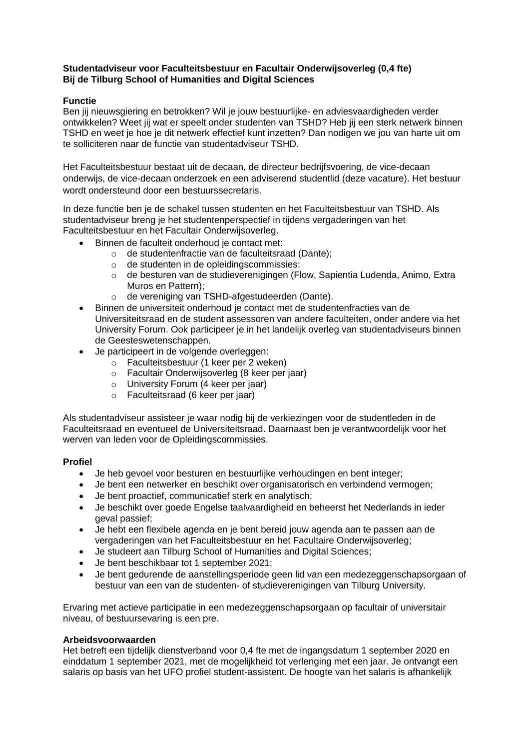## **Studentadviseur voor Faculteitsbestuur en Facultair Onderwijsoverleg (0,4 fte) Bij de Tilburg School of Humanities and Digital Sciences**

### **Functie**

Ben jij nieuwsgiering en betrokken? Wil je jouw bestuurlijke- en adviesvaardigheden verder ontwikkelen? Weet jij wat er speelt onder studenten van TSHD? Heb jij een sterk netwerk binnen TSHD en weet je hoe je dit netwerk effectief kunt inzetten? Dan nodigen we jou van harte uit om te solliciteren naar de functie van studentadviseur TSHD.

Het Faculteitsbestuur bestaat uit de decaan, de directeur bedrijfsvoering, de vice-decaan onderwijs, de vice-decaan onderzoek en een adviserend studentlid (deze vacature). Het bestuur wordt ondersteund door een bestuurssecretaris.

In deze functie ben je de schakel tussen studenten en het Faculteitsbestuur van TSHD. Als studentadviseur breng je het studentenperspectief in tijdens vergaderingen van het Faculteitsbestuur en het Facultair Onderwijsoverleg.

- Binnen de faculteit onderhoud je contact met:
	- o de studentenfractie van de faculteitsraad (Dante);
	- o de studenten in de opleidingscommissies;
	- $\circ$  de besturen van de studieverenigingen (Flow, Sapientia Ludenda, Animo, Extra Muros en Pattern);
	- o de vereniging van TSHD-afgestudeerden (Dante).
- Binnen de universiteit onderhoud je contact met de studentenfracties van de Universiteitsraad en de student assessoren van andere faculteiten, onder andere via het University Forum. Ook participeer je in het landelijk overleg van studentadviseurs binnen de Geesteswetenschappen.
- Je participeert in de volgende overleggen:
	- o Faculteitsbestuur (1 keer per 2 weken)
	- o Facultair Onderwijsoverleg (8 keer per jaar)
	- o University Forum (4 keer per jaar)
	- o Faculteitsraad (6 keer per jaar)

Als studentadviseur assisteer je waar nodig bij de verkiezingen voor de studentleden in de Faculteitsraad en eventueel de Universiteitsraad. Daarnaast ben je verantwoordelijk voor het werven van leden voor de Opleidingscommissies.

#### **Profiel**

- Je heb gevoel voor besturen en bestuurlijke verhoudingen en bent integer;
- Je bent een netwerker en beschikt over organisatorisch en verbindend vermogen;
- Je bent proactief, communicatief sterk en analytisch;
- Je beschikt over goede Engelse taalvaardigheid en beheerst het Nederlands in ieder geval passief;
- Je hebt een flexibele agenda en je bent bereid jouw agenda aan te passen aan de vergaderingen van het Faculteitsbestuur en het Facultaire Onderwijsoverleg;
- Je studeert aan Tilburg School of Humanities and Digital Sciences;
- Je bent beschikbaar tot 1 september 2021;
- Je bent gedurende de aanstellingsperiode geen lid van een medezeggenschapsorgaan of bestuur van een van de studenten- of studieverenigingen van Tilburg University.

Ervaring met actieve participatie in een medezeggenschapsorgaan op facultair of universitair niveau, of bestuursevaring is een pre.

#### **Arbeidsvoorwaarden**

Het betreft een tijdelijk dienstverband voor 0,4 fte met de ingangsdatum 1 september 2020 en einddatum 1 september 2021, met de mogelijkheid tot verlenging met een jaar. Je ontvangt een salaris op basis van het UFO profiel student-assistent. De hoogte van het salaris is afhankelijk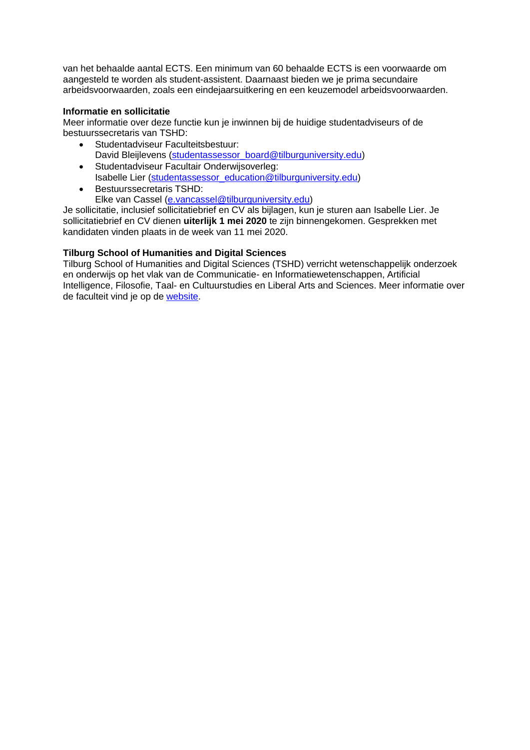van het behaalde aantal ECTS. Een minimum van 60 behaalde ECTS is een voorwaarde om aangesteld te worden als student-assistent. Daarnaast bieden we je prima secundaire arbeidsvoorwaarden, zoals een eindejaarsuitkering en een keuzemodel arbeidsvoorwaarden.

### **Informatie en sollicitatie**

Meer informatie over deze functie kun je inwinnen bij de huidige studentadviseurs of de bestuurssecretaris van TSHD:

- Studentadviseur Faculteitsbestuur: David Bleijlevens [\(studentassessor\\_board@tilburguniversity.edu\)](mailto:studentassessor_board@tilburguniversity.edu)
- Studentadviseur Facultair Onderwijsoverleg: Isabelle Lier [\(studentassessor\\_education@tilburguniversity.edu\)](mailto:studentassessor_education@tilburguniversity.edu)
- **Bestuurssecretaris TSHD:** Elke van Cassel [\(e.vancassel@tilburguniversity.edu\)](mailto:e.vancassel@tilburguniversity.edu)

Je sollicitatie, inclusief sollicitatiebrief en CV als bijlagen, kun je sturen aan Isabelle Lier. Je sollicitatiebrief en CV dienen **uiterlijk 1 mei 2020** te zijn binnengekomen. Gesprekken met kandidaten vinden plaats in de week van 11 mei 2020.

# **Tilburg School of Humanities and Digital Sciences**

Tilburg School of Humanities and Digital Sciences (TSHD) verricht wetenschappelijk onderzoek en onderwijs op het vlak van de Communicatie- en Informatiewetenschappen, Artificial Intelligence, Filosofie, Taal- en Cultuurstudies en Liberal Arts and Sciences. Meer informatie over de faculteit vind je op de [website.](https://www.tilburguniversity.edu/nl/over/schools/tshd)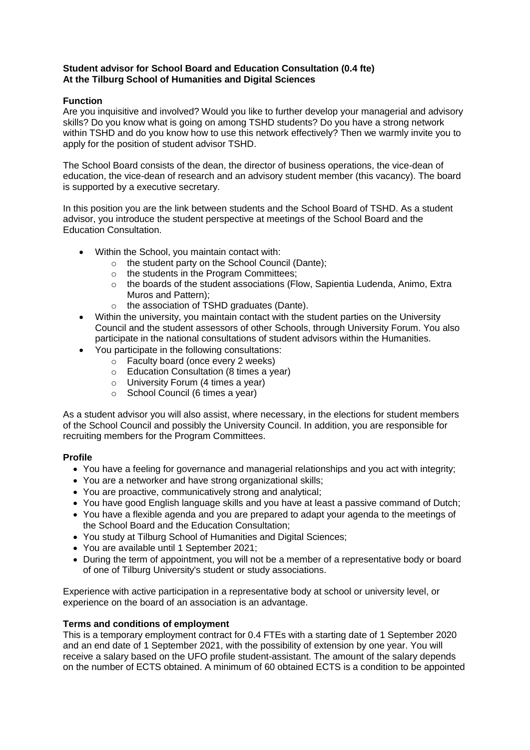## **Student advisor for School Board and Education Consultation (0.4 fte) At the Tilburg School of Humanities and Digital Sciences**

## **Function**

Are you inquisitive and involved? Would you like to further develop your managerial and advisory skills? Do you know what is going on among TSHD students? Do you have a strong network within TSHD and do you know how to use this network effectively? Then we warmly invite you to apply for the position of student advisor TSHD.

The School Board consists of the dean, the director of business operations, the vice-dean of education, the vice-dean of research and an advisory student member (this vacancy). The board is supported by a executive secretary.

In this position you are the link between students and the School Board of TSHD. As a student advisor, you introduce the student perspective at meetings of the School Board and the Education Consultation.

- Within the School, you maintain contact with:
	- $\circ$  the student party on the School Council (Dante);
	- o the students in the Program Committees;
	- o the boards of the student associations (Flow, Sapientia Ludenda, Animo, Extra Muros and Pattern);
	- o the association of TSHD graduates (Dante).
- Within the university, you maintain contact with the student parties on the University Council and the student assessors of other Schools, through University Forum. You also participate in the national consultations of student advisors within the Humanities.
- You participate in the following consultations:
	- o Faculty board (once every 2 weeks)
	- o Education Consultation (8 times a year)
	- o University Forum (4 times a year)
	- o School Council (6 times a year)

As a student advisor you will also assist, where necessary, in the elections for student members of the School Council and possibly the University Council. In addition, you are responsible for recruiting members for the Program Committees.

#### **Profile**

- You have a feeling for governance and managerial relationships and you act with integrity;
- You are a networker and have strong organizational skills;
- You are proactive, communicatively strong and analytical;
- You have good English language skills and you have at least a passive command of Dutch;
- You have a flexible agenda and you are prepared to adapt your agenda to the meetings of the School Board and the Education Consultation;
- You study at Tilburg School of Humanities and Digital Sciences;
- You are available until 1 September 2021;
- During the term of appointment, you will not be a member of a representative body or board of one of Tilburg University's student or study associations.

Experience with active participation in a representative body at school or university level, or experience on the board of an association is an advantage.

#### **Terms and conditions of employment**

This is a temporary employment contract for 0.4 FTEs with a starting date of 1 September 2020 and an end date of 1 September 2021, with the possibility of extension by one year. You will receive a salary based on the UFO profile student-assistant. The amount of the salary depends on the number of ECTS obtained. A minimum of 60 obtained ECTS is a condition to be appointed